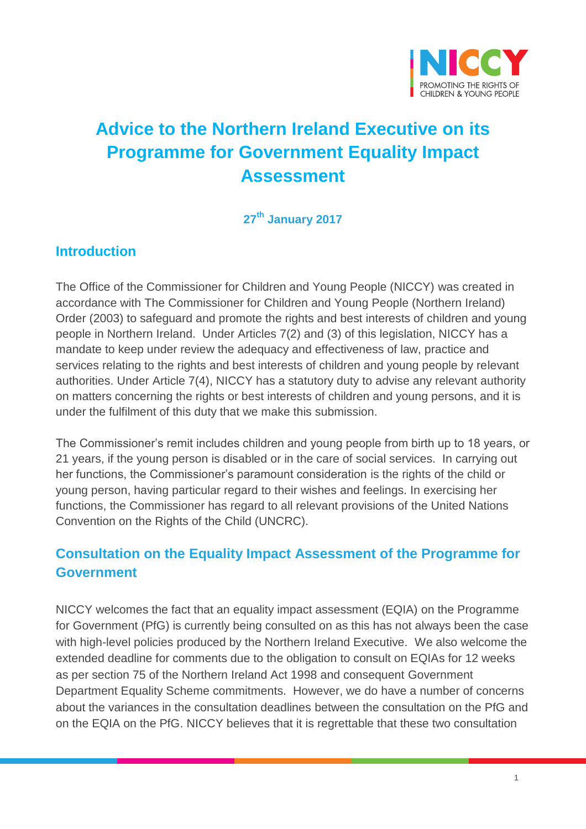

# **Advice to the Northern Ireland Executive on its Programme for Government Equality Impact Assessment**

#### **27 th January 2017**

#### **Introduction**

The Office of the Commissioner for Children and Young People (NICCY) was created in accordance with The Commissioner for Children and Young People (Northern Ireland) Order (2003) to safeguard and promote the rights and best interests of children and young people in Northern Ireland. Under Articles 7(2) and (3) of this legislation, NICCY has a mandate to keep under review the adequacy and effectiveness of law, practice and services relating to the rights and best interests of children and young people by relevant authorities. Under Article 7(4), NICCY has a statutory duty to advise any relevant authority on matters concerning the rights or best interests of children and young persons, and it is under the fulfilment of this duty that we make this submission.

The Commissioner's remit includes children and young people from birth up to 18 years, or 21 years, if the young person is disabled or in the care of social services. In carrying out her functions, the Commissioner's paramount consideration is the rights of the child or young person, having particular regard to their wishes and feelings. In exercising her functions, the Commissioner has regard to all relevant provisions of the United Nations Convention on the Rights of the Child (UNCRC).

## **Consultation on the Equality Impact Assessment of the Programme for Government**

NICCY welcomes the fact that an equality impact assessment (EQIA) on the Programme for Government (PfG) is currently being consulted on as this has not always been the case with high-level policies produced by the Northern Ireland Executive. We also welcome the extended deadline for comments due to the obligation to consult on EQIAs for 12 weeks as per section 75 of the Northern Ireland Act 1998 and consequent Government Department Equality Scheme commitments. However, we do have a number of concerns about the variances in the consultation deadlines between the consultation on the PfG and on the EQIA on the PfG. NICCY believes that it is regrettable that these two consultation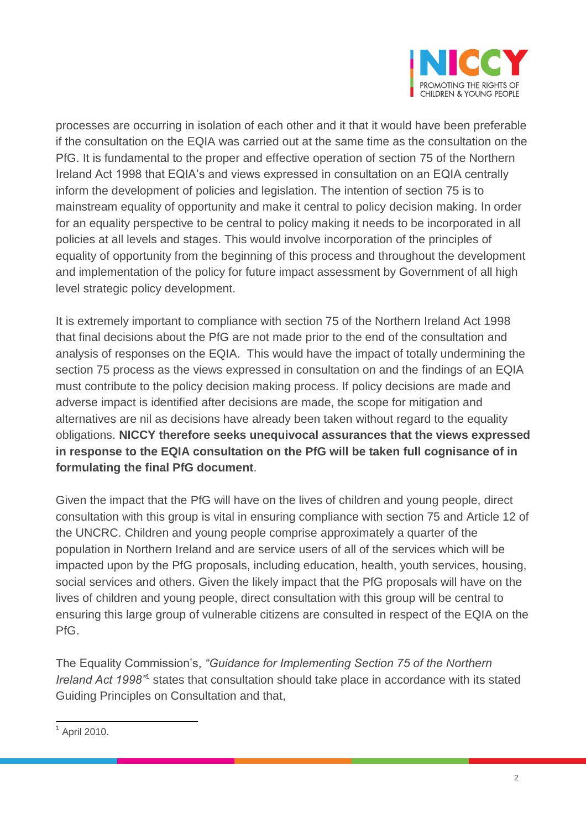

processes are occurring in isolation of each other and it that it would have been preferable if the consultation on the EQIA was carried out at the same time as the consultation on the PfG. It is fundamental to the proper and effective operation of section 75 of the Northern Ireland Act 1998 that EQIA's and views expressed in consultation on an EQIA centrally inform the development of policies and legislation. The intention of section 75 is to mainstream equality of opportunity and make it central to policy decision making. In order for an equality perspective to be central to policy making it needs to be incorporated in all policies at all levels and stages. This would involve incorporation of the principles of equality of opportunity from the beginning of this process and throughout the development and implementation of the policy for future impact assessment by Government of all high level strategic policy development.

It is extremely important to compliance with section 75 of the Northern Ireland Act 1998 that final decisions about the PfG are not made prior to the end of the consultation and analysis of responses on the EQIA. This would have the impact of totally undermining the section 75 process as the views expressed in consultation on and the findings of an EQIA must contribute to the policy decision making process. If policy decisions are made and adverse impact is identified after decisions are made, the scope for mitigation and alternatives are nil as decisions have already been taken without regard to the equality obligations. **NICCY therefore seeks unequivocal assurances that the views expressed in response to the EQIA consultation on the PfG will be taken full cognisance of in formulating the final PfG document**.

Given the impact that the PfG will have on the lives of children and young people, direct consultation with this group is vital in ensuring compliance with section 75 and Article 12 of the UNCRC. Children and young people comprise approximately a quarter of the population in Northern Ireland and are service users of all of the services which will be impacted upon by the PfG proposals, including education, health, youth services, housing, social services and others. Given the likely impact that the PfG proposals will have on the lives of children and young people, direct consultation with this group will be central to ensuring this large group of vulnerable citizens are consulted in respect of the EQIA on the PfG.

The Equality Commission's, *"Guidance for Implementing Section 75 of the Northern*  Ireland Act 1998<sup>"1</sup> states that consultation should take place in accordance with its stated Guiding Principles on Consultation and that,

 $\overline{a}$  $<sup>1</sup>$  April 2010.</sup>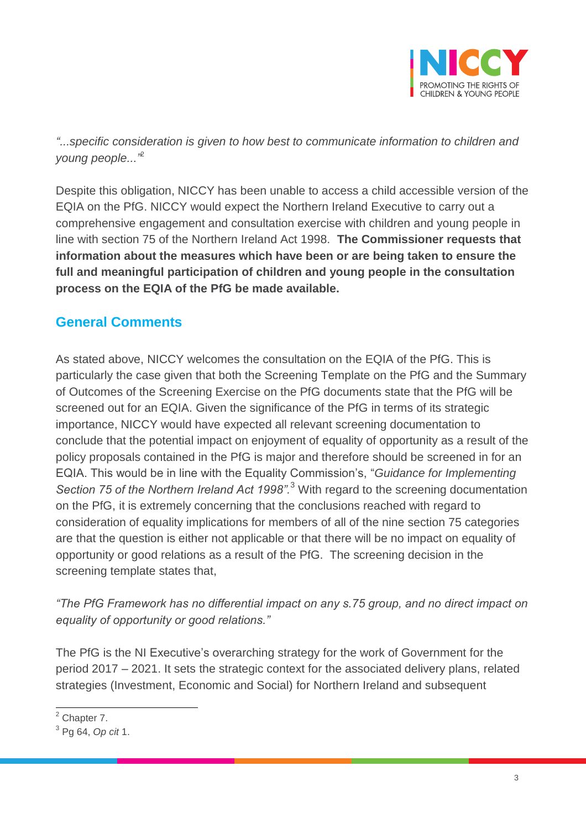

*"...specific consideration is given to how best to communicate information to children and young people..."*<sup>2</sup>

Despite this obligation, NICCY has been unable to access a child accessible version of the EQIA on the PfG. NICCY would expect the Northern Ireland Executive to carry out a comprehensive engagement and consultation exercise with children and young people in line with section 75 of the Northern Ireland Act 1998. **The Commissioner requests that information about the measures which have been or are being taken to ensure the full and meaningful participation of children and young people in the consultation process on the EQIA of the PfG be made available.** 

## **General Comments**

As stated above, NICCY welcomes the consultation on the EQIA of the PfG. This is particularly the case given that both the Screening Template on the PfG and the Summary of Outcomes of the Screening Exercise on the PfG documents state that the PfG will be screened out for an EQIA. Given the significance of the PfG in terms of its strategic importance, NICCY would have expected all relevant screening documentation to conclude that the potential impact on enjoyment of equality of opportunity as a result of the policy proposals contained in the PfG is major and therefore should be screened in for an EQIA. This would be in line with the Equality Commission's, "*Guidance for Implementing Section 75 of the Northern Ireland Act 1998".* <sup>3</sup> With regard to the screening documentation on the PfG, it is extremely concerning that the conclusions reached with regard to consideration of equality implications for members of all of the nine section 75 categories are that the question is either not applicable or that there will be no impact on equality of opportunity or good relations as a result of the PfG. The screening decision in the screening template states that,

*"The PfG Framework has no differential impact on any s.75 group, and no direct impact on equality of opportunity or good relations."*

The PfG is the NI Executive's overarching strategy for the work of Government for the period 2017 – 2021. It sets the strategic context for the associated delivery plans, related strategies (Investment, Economic and Social) for Northern Ireland and subsequent

 $\overline{a}$  $<sup>2</sup>$  Chapter 7.</sup>

<sup>3</sup> Pg 64, *Op cit* 1.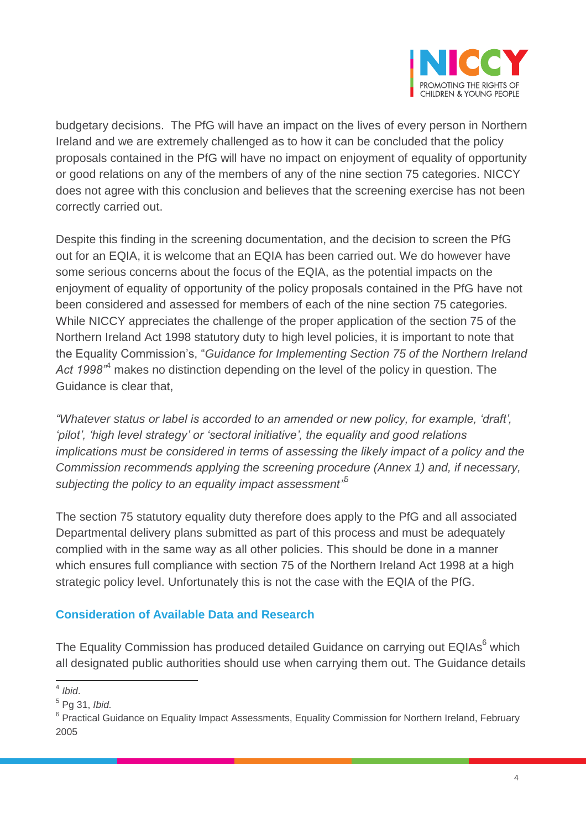

budgetary decisions. The PfG will have an impact on the lives of every person in Northern Ireland and we are extremely challenged as to how it can be concluded that the policy proposals contained in the PfG will have no impact on enjoyment of equality of opportunity or good relations on any of the members of any of the nine section 75 categories. NICCY does not agree with this conclusion and believes that the screening exercise has not been correctly carried out.

Despite this finding in the screening documentation, and the decision to screen the PfG out for an EQIA, it is welcome that an EQIA has been carried out. We do however have some serious concerns about the focus of the EQIA, as the potential impacts on the enjoyment of equality of opportunity of the policy proposals contained in the PfG have not been considered and assessed for members of each of the nine section 75 categories. While NICCY appreciates the challenge of the proper application of the section 75 of the Northern Ireland Act 1998 statutory duty to high level policies, it is important to note that the Equality Commission's, "*Guidance for Implementing Section 75 of the Northern Ireland Act 1998"*<sup>4</sup> makes no distinction depending on the level of the policy in question. The Guidance is clear that,

*"Whatever status or label is accorded to an amended or new policy, for example, 'draft', 'pilot', 'high level strategy' or 'sectoral initiative', the equality and good relations implications must be considered in terms of assessing the likely impact of a policy and the Commission recommends applying the screening procedure (Annex 1) and, if necessary, subjecting the policy to an equality impact assessment"* 5

The section 75 statutory equality duty therefore does apply to the PfG and all associated Departmental delivery plans submitted as part of this process and must be adequately complied with in the same way as all other policies. This should be done in a manner which ensures full compliance with section 75 of the Northern Ireland Act 1998 at a high strategic policy level. Unfortunately this is not the case with the EQIA of the PfG.

#### **Consideration of Available Data and Research**

The Equality Commission has produced detailed Guidance on carrying out EQIAs<sup>6</sup> which all designated public authorities should use when carrying them out. The Guidance details

 4 *Ibid*.

<sup>5</sup> Pg 31, *Ibid.*

<sup>&</sup>lt;sup>6</sup> Practical Guidance on Equality Impact Assessments, Equality Commission for Northern Ireland, February 2005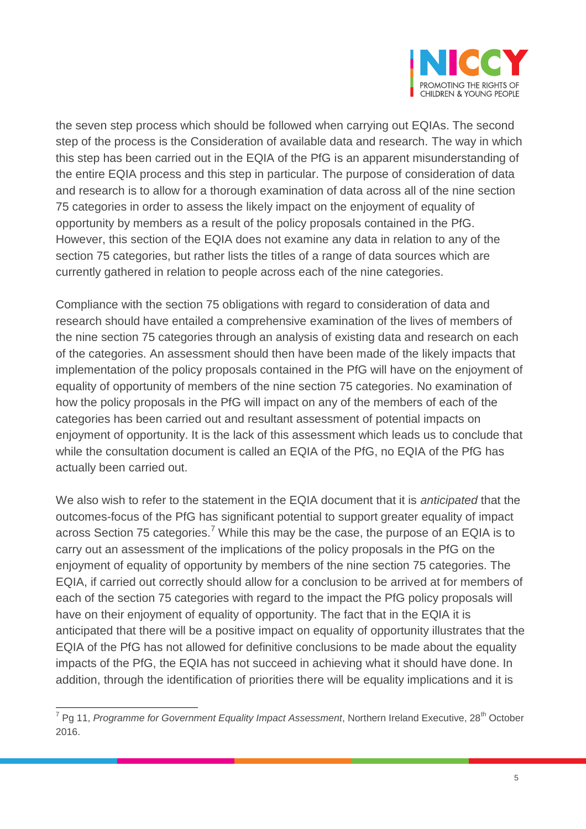

the seven step process which should be followed when carrying out EQIAs. The second step of the process is the Consideration of available data and research. The way in which this step has been carried out in the EQIA of the PfG is an apparent misunderstanding of the entire EQIA process and this step in particular. The purpose of consideration of data and research is to allow for a thorough examination of data across all of the nine section 75 categories in order to assess the likely impact on the enjoyment of equality of opportunity by members as a result of the policy proposals contained in the PfG. However, this section of the EQIA does not examine any data in relation to any of the section 75 categories, but rather lists the titles of a range of data sources which are currently gathered in relation to people across each of the nine categories.

Compliance with the section 75 obligations with regard to consideration of data and research should have entailed a comprehensive examination of the lives of members of the nine section 75 categories through an analysis of existing data and research on each of the categories. An assessment should then have been made of the likely impacts that implementation of the policy proposals contained in the PfG will have on the enjoyment of equality of opportunity of members of the nine section 75 categories. No examination of how the policy proposals in the PfG will impact on any of the members of each of the categories has been carried out and resultant assessment of potential impacts on enjoyment of opportunity. It is the lack of this assessment which leads us to conclude that while the consultation document is called an EQIA of the PfG, no EQIA of the PfG has actually been carried out.

We also wish to refer to the statement in the EQIA document that it is *anticipated* that the outcomes-focus of the PfG has significant potential to support greater equality of impact across Section 75 categories.<sup>7</sup> While this may be the case, the purpose of an EQIA is to carry out an assessment of the implications of the policy proposals in the PfG on the enjoyment of equality of opportunity by members of the nine section 75 categories. The EQIA, if carried out correctly should allow for a conclusion to be arrived at for members of each of the section 75 categories with regard to the impact the PfG policy proposals will have on their enjoyment of equality of opportunity. The fact that in the EQIA it is anticipated that there will be a positive impact on equality of opportunity illustrates that the EQIA of the PfG has not allowed for definitive conclusions to be made about the equality impacts of the PfG, the EQIA has not succeed in achieving what it should have done. In addition, through the identification of priorities there will be equality implications and it is

<sup>7&</sup>lt;br><sup>7</sup> Pg 11, *Programme for Government Equality Impact Assessment*, Northern Ireland Executive, 28<sup>th</sup> October 2016.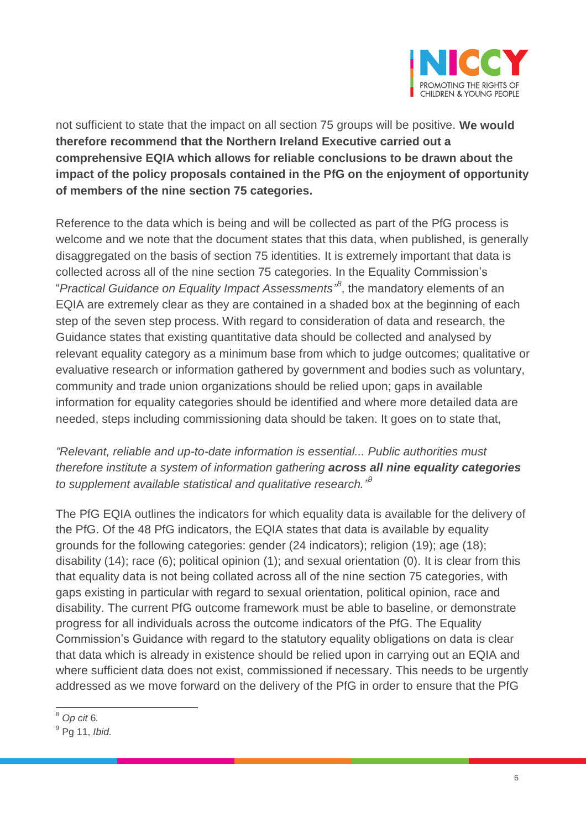

not sufficient to state that the impact on all section 75 groups will be positive. **We would therefore recommend that the Northern Ireland Executive carried out a comprehensive EQIA which allows for reliable conclusions to be drawn about the impact of the policy proposals contained in the PfG on the enjoyment of opportunity of members of the nine section 75 categories.**

Reference to the data which is being and will be collected as part of the PfG process is welcome and we note that the document states that this data, when published, is generally disaggregated on the basis of section 75 identities. It is extremely important that data is collected across all of the nine section 75 categories. In the Equality Commission's "*Practical Guidance on Equality Impact Assessments" 8* , the mandatory elements of an EQIA are extremely clear as they are contained in a shaded box at the beginning of each step of the seven step process. With regard to consideration of data and research, the Guidance states that existing quantitative data should be collected and analysed by relevant equality category as a minimum base from which to judge outcomes; qualitative or evaluative research or information gathered by government and bodies such as voluntary, community and trade union organizations should be relied upon; gaps in available information for equality categories should be identified and where more detailed data are needed, steps including commissioning data should be taken. It goes on to state that,

#### *"Relevant, reliable and up-to-date information is essential... Public authorities must therefore institute a system of information gathering across all nine equality categories to supplement available statistical and qualitative research." 9*

The PfG EQIA outlines the indicators for which equality data is available for the delivery of the PfG. Of the 48 PfG indicators, the EQIA states that data is available by equality grounds for the following categories: gender (24 indicators); religion (19); age (18); disability (14); race (6); political opinion (1); and sexual orientation (0). It is clear from this that equality data is not being collated across all of the nine section 75 categories, with gaps existing in particular with regard to sexual orientation, political opinion, race and disability. The current PfG outcome framework must be able to baseline, or demonstrate progress for all individuals across the outcome indicators of the PfG. The Equality Commission's Guidance with regard to the statutory equality obligations on data is clear that data which is already in existence should be relied upon in carrying out an EQIA and where sufficient data does not exist, commissioned if necessary. This needs to be urgently addressed as we move forward on the delivery of the PfG in order to ensure that the PfG

 $\overline{a}$ <sup>8</sup> *Op cit* 6*.*

<sup>9</sup> Pg 11, *Ibid.*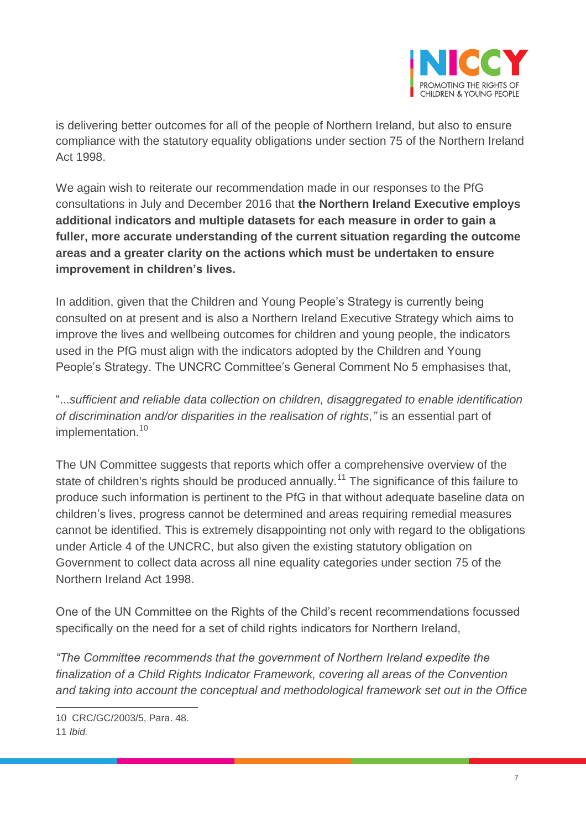

is delivering better outcomes for all of the people of Northern Ireland, but also to ensure compliance with the statutory equality obligations under section 75 of the Northern Ireland Act 1998.

We again wish to reiterate our recommendation made in our responses to the PfG consultations in July and December 2016 that **the Northern Ireland Executive employs additional indicators and multiple datasets for each measure in order to gain a fuller, more accurate understanding of the current situation regarding the outcome areas and a greater clarity on the actions which must be undertaken to ensure improvement in children's lives.** 

In addition, given that the Children and Young People's Strategy is currently being consulted on at present and is also a Northern Ireland Executive Strategy which aims to improve the lives and wellbeing outcomes for children and young people, the indicators used in the PfG must align with the indicators adopted by the Children and Young People's Strategy. The UNCRC Committee's General Comment No 5 emphasises that,

"...*sufficient and reliable data collection on children, disaggregated to enable identification of discrimination and/or disparities in the realisation of rights,"* is an essential part of implementation.<sup>10</sup>

The UN Committee suggests that reports which offer a comprehensive overview of the state of children's rights should be produced annually.<sup>11</sup> The significance of this failure to produce such information is pertinent to the PfG in that without adequate baseline data on children's lives, progress cannot be determined and areas requiring remedial measures cannot be identified. This is extremely disappointing not only with regard to the obligations under Article 4 of the UNCRC, but also given the existing statutory obligation on Government to collect data across all nine equality categories under section 75 of the Northern Ireland Act 1998.

One of the UN Committee on the Rights of the Child's recent recommendations focussed specifically on the need for a set of child rights indicators for Northern Ireland,

*"The Committee recommends that the government of Northern Ireland expedite the finalization of a Child Rights Indicator Framework, covering all areas of the Convention and taking into account the conceptual and methodological framework set out in the Office* 

11 *Ibid.*

 $\overline{a}$ 

<sup>10</sup> CRC/GC/2003/5, Para. 48.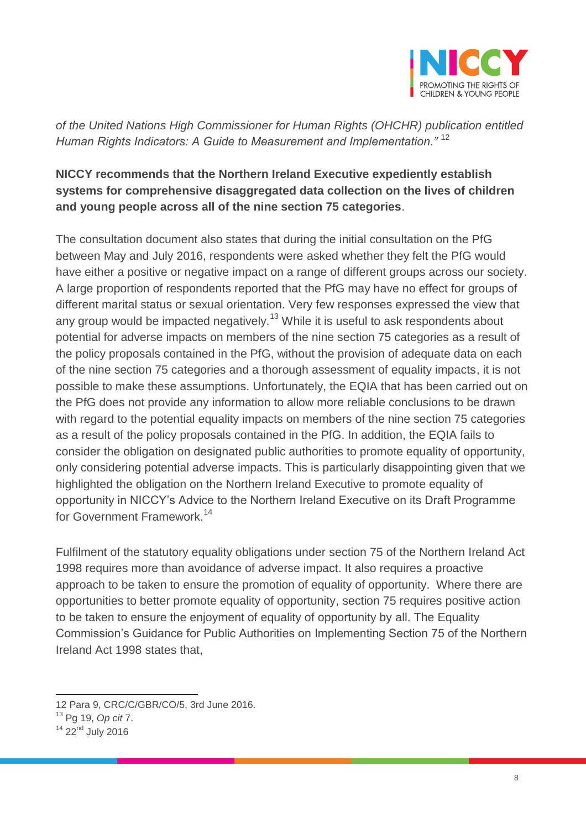

*of the United Nations High Commissioner for Human Rights (OHCHR) publication entitled Human Rights Indicators: A Guide to Measurement and Implementation."* <sup>12</sup>

#### **NICCY recommends that the Northern Ireland Executive expediently establish systems for comprehensive disaggregated data collection on the lives of children and young people across all of the nine section 75 categories**.

The consultation document also states that during the initial consultation on the PfG between May and July 2016, respondents were asked whether they felt the PfG would have either a positive or negative impact on a range of different groups across our society. A large proportion of respondents reported that the PfG may have no effect for groups of different marital status or sexual orientation. Very few responses expressed the view that any group would be impacted negatively.<sup>13</sup> While it is useful to ask respondents about potential for adverse impacts on members of the nine section 75 categories as a result of the policy proposals contained in the PfG, without the provision of adequate data on each of the nine section 75 categories and a thorough assessment of equality impacts, it is not possible to make these assumptions. Unfortunately, the EQIA that has been carried out on the PfG does not provide any information to allow more reliable conclusions to be drawn with regard to the potential equality impacts on members of the nine section 75 categories as a result of the policy proposals contained in the PfG. In addition, the EQIA fails to consider the obligation on designated public authorities to promote equality of opportunity, only considering potential adverse impacts. This is particularly disappointing given that we highlighted the obligation on the Northern Ireland Executive to promote equality of opportunity in NICCY's Advice to the Northern Ireland Executive on its Draft Programme for Government Framework. 14

Fulfilment of the statutory equality obligations under section 75 of the Northern Ireland Act 1998 requires more than avoidance of adverse impact. It also requires a proactive approach to be taken to ensure the promotion of equality of opportunity. Where there are opportunities to better promote equality of opportunity, section 75 requires positive action to be taken to ensure the enjoyment of equality of opportunity by all. The Equality Commission's Guidance for Public Authorities on Implementing Section 75 of the Northern Ireland Act 1998 states that,

 $\overline{a}$ 12 Para 9, CRC/C/GBR/CO/5, 3rd June 2016.

<sup>13</sup> Pg 19, *Op cit* 7.

<sup>&</sup>lt;sup>14</sup> 22<sup>nd</sup> July 2016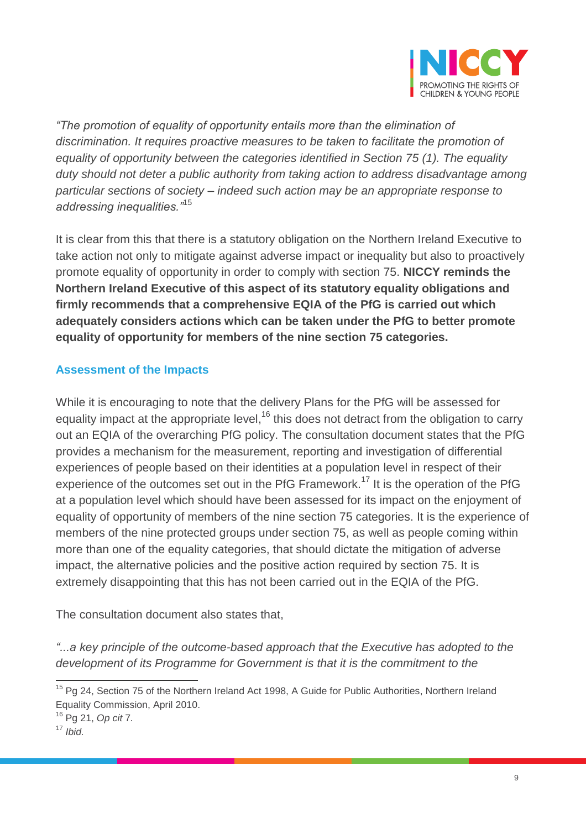

*"The promotion of equality of opportunity entails more than the elimination of discrimination. It requires proactive measures to be taken to facilitate the promotion of equality of opportunity between the categories identified in Section 75 (1). The equality duty should not deter a public authority from taking action to address disadvantage among particular sections of society – indeed such action may be an appropriate response to addressing inequalities."*<sup>15</sup>

It is clear from this that there is a statutory obligation on the Northern Ireland Executive to take action not only to mitigate against adverse impact or inequality but also to proactively promote equality of opportunity in order to comply with section 75. **NICCY reminds the Northern Ireland Executive of this aspect of its statutory equality obligations and firmly recommends that a comprehensive EQIA of the PfG is carried out which adequately considers actions which can be taken under the PfG to better promote equality of opportunity for members of the nine section 75 categories.** 

#### **Assessment of the Impacts**

While it is encouraging to note that the delivery Plans for the PfG will be assessed for equality impact at the appropriate level,<sup>16</sup> this does not detract from the obligation to carry out an EQIA of the overarching PfG policy. The consultation document states that the PfG provides a mechanism for the measurement, reporting and investigation of differential experiences of people based on their identities at a population level in respect of their experience of the outcomes set out in the PfG Framework.<sup>17</sup> It is the operation of the PfG at a population level which should have been assessed for its impact on the enjoyment of equality of opportunity of members of the nine section 75 categories. It is the experience of members of the nine protected groups under section 75, as well as people coming within more than one of the equality categories, that should dictate the mitigation of adverse impact, the alternative policies and the positive action required by section 75. It is extremely disappointing that this has not been carried out in the EQIA of the PfG.

The consultation document also states that,

*"...a key principle of the outcome-based approach that the Executive has adopted to the development of its Programme for Government is that it is the commitment to the* 

 $\overline{a}$ 

<sup>&</sup>lt;sup>15</sup> Pg 24, Section 75 of the Northern Ireland Act 1998, A Guide for Public Authorities, Northern Ireland Equality Commission, April 2010.

<sup>16</sup> Pg 21, *Op cit* 7*.*

<sup>17</sup> *Ibid.*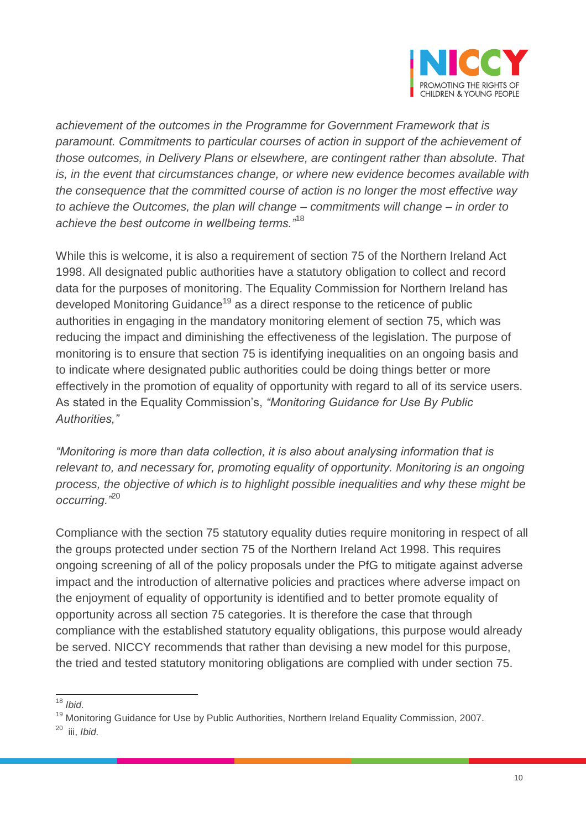

*achievement of the outcomes in the Programme for Government Framework that is paramount. Commitments to particular courses of action in support of the achievement of those outcomes, in Delivery Plans or elsewhere, are contingent rather than absolute. That is, in the event that circumstances change, or where new evidence becomes available with the consequence that the committed course of action is no longer the most effective way to achieve the Outcomes, the plan will change – commitments will change – in order to achieve the best outcome in wellbeing terms."*<sup>18</sup>

While this is welcome, it is also a requirement of section 75 of the Northern Ireland Act 1998. All designated public authorities have a statutory obligation to collect and record data for the purposes of monitoring. The Equality Commission for Northern Ireland has developed Monitoring Guidance<sup>19</sup> as a direct response to the reticence of public authorities in engaging in the mandatory monitoring element of section 75, which was reducing the impact and diminishing the effectiveness of the legislation. The purpose of monitoring is to ensure that section 75 is identifying inequalities on an ongoing basis and to indicate where designated public authorities could be doing things better or more effectively in the promotion of equality of opportunity with regard to all of its service users. As stated in the Equality Commission's, *"Monitoring Guidance for Use By Public Authorities,"*

*"Monitoring is more than data collection, it is also about analysing information that is*  relevant to, and necessary for, promoting equality of opportunity. Monitoring is an ongoing *process, the objective of which is to highlight possible inequalities and why these might be occurring."*<sup>20</sup>

Compliance with the section 75 statutory equality duties require monitoring in respect of all the groups protected under section 75 of the Northern Ireland Act 1998. This requires ongoing screening of all of the policy proposals under the PfG to mitigate against adverse impact and the introduction of alternative policies and practices where adverse impact on the enjoyment of equality of opportunity is identified and to better promote equality of opportunity across all section 75 categories. It is therefore the case that through compliance with the established statutory equality obligations, this purpose would already be served. NICCY recommends that rather than devising a new model for this purpose, the tried and tested statutory monitoring obligations are complied with under section 75.

 $\overline{a}$ <sup>18</sup> *Ibid.*

<sup>&</sup>lt;sup>19</sup> Monitoring Guidance for Use by Public Authorities, Northern Ireland Equality Commission, 2007.

<sup>20</sup> iii, *Ibid.*